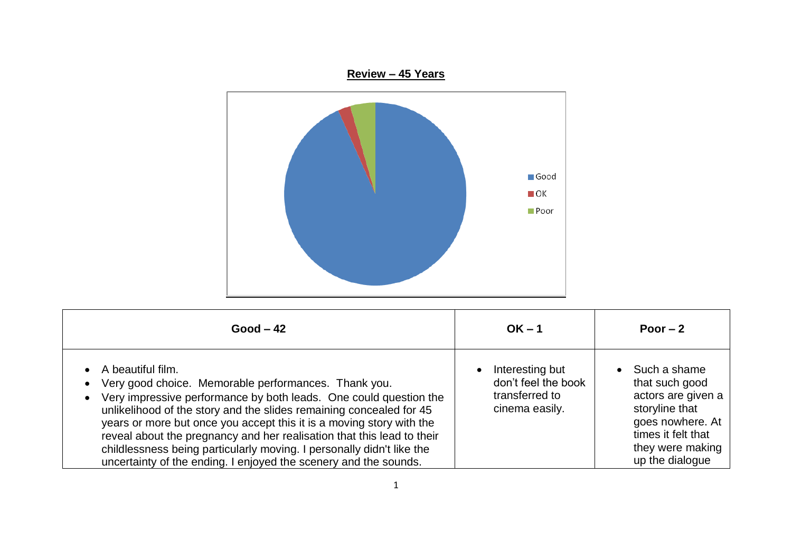

| $Good - 42$                                                                                                                                                                                                                                                                                                                                                                                                                                                                                                          | $OK - 1$                                                                                | Poor $-2$                                                                                                                                                            |
|----------------------------------------------------------------------------------------------------------------------------------------------------------------------------------------------------------------------------------------------------------------------------------------------------------------------------------------------------------------------------------------------------------------------------------------------------------------------------------------------------------------------|-----------------------------------------------------------------------------------------|----------------------------------------------------------------------------------------------------------------------------------------------------------------------|
| A beautiful film.<br>Very good choice. Memorable performances. Thank you.<br>Very impressive performance by both leads. One could question the<br>unlikelihood of the story and the slides remaining concealed for 45<br>years or more but once you accept this it is a moving story with the<br>reveal about the pregnancy and her realisation that this lead to their<br>childlessness being particularly moving. I personally didn't like the<br>uncertainty of the ending. I enjoyed the scenery and the sounds. | Interesting but<br>$\bullet$<br>don't feel the book<br>transferred to<br>cinema easily. | Such a shame<br>$\bullet$<br>that such good<br>actors are given a<br>storyline that<br>goes nowhere. At<br>times it felt that<br>they were making<br>up the dialogue |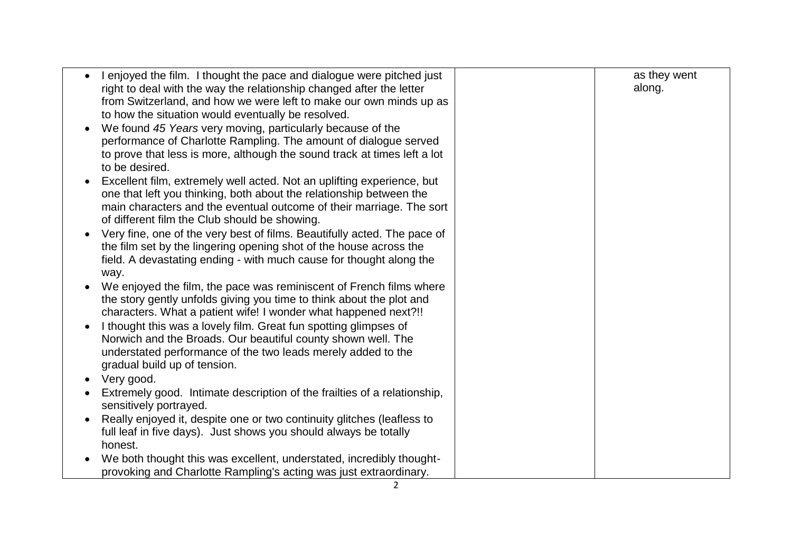| along.<br>right to deal with the way the relationship changed after the letter<br>from Switzerland, and how we were left to make our own minds up as<br>to how the situation would eventually be resolved.<br>We found 45 Years very moving, particularly because of the<br>performance of Charlotte Rampling. The amount of dialogue served<br>to prove that less is more, although the sound track at times left a lot |
|--------------------------------------------------------------------------------------------------------------------------------------------------------------------------------------------------------------------------------------------------------------------------------------------------------------------------------------------------------------------------------------------------------------------------|
|                                                                                                                                                                                                                                                                                                                                                                                                                          |
|                                                                                                                                                                                                                                                                                                                                                                                                                          |
|                                                                                                                                                                                                                                                                                                                                                                                                                          |
|                                                                                                                                                                                                                                                                                                                                                                                                                          |
|                                                                                                                                                                                                                                                                                                                                                                                                                          |
|                                                                                                                                                                                                                                                                                                                                                                                                                          |
| to be desired.                                                                                                                                                                                                                                                                                                                                                                                                           |
| Excellent film, extremely well acted. Not an uplifting experience, but                                                                                                                                                                                                                                                                                                                                                   |
| one that left you thinking, both about the relationship between the                                                                                                                                                                                                                                                                                                                                                      |
| main characters and the eventual outcome of their marriage. The sort                                                                                                                                                                                                                                                                                                                                                     |
| of different film the Club should be showing.                                                                                                                                                                                                                                                                                                                                                                            |
| Very fine, one of the very best of films. Beautifully acted. The pace of                                                                                                                                                                                                                                                                                                                                                 |
| the film set by the lingering opening shot of the house across the                                                                                                                                                                                                                                                                                                                                                       |
| field. A devastating ending - with much cause for thought along the                                                                                                                                                                                                                                                                                                                                                      |
| way.                                                                                                                                                                                                                                                                                                                                                                                                                     |
| We enjoyed the film, the pace was reminiscent of French films where                                                                                                                                                                                                                                                                                                                                                      |
| the story gently unfolds giving you time to think about the plot and                                                                                                                                                                                                                                                                                                                                                     |
| characters. What a patient wife! I wonder what happened next?!!                                                                                                                                                                                                                                                                                                                                                          |
| I thought this was a lovely film. Great fun spotting glimpses of                                                                                                                                                                                                                                                                                                                                                         |
| Norwich and the Broads. Our beautiful county shown well. The                                                                                                                                                                                                                                                                                                                                                             |
| understated performance of the two leads merely added to the                                                                                                                                                                                                                                                                                                                                                             |
| gradual build up of tension.                                                                                                                                                                                                                                                                                                                                                                                             |
| Very good.                                                                                                                                                                                                                                                                                                                                                                                                               |
| Extremely good. Intimate description of the frailties of a relationship,                                                                                                                                                                                                                                                                                                                                                 |
| sensitively portrayed.                                                                                                                                                                                                                                                                                                                                                                                                   |
| Really enjoyed it, despite one or two continuity glitches (leafless to                                                                                                                                                                                                                                                                                                                                                   |
| full leaf in five days). Just shows you should always be totally                                                                                                                                                                                                                                                                                                                                                         |
| honest.                                                                                                                                                                                                                                                                                                                                                                                                                  |
| We both thought this was excellent, understated, incredibly thought-                                                                                                                                                                                                                                                                                                                                                     |
| provoking and Charlotte Rampling's acting was just extraordinary.                                                                                                                                                                                                                                                                                                                                                        |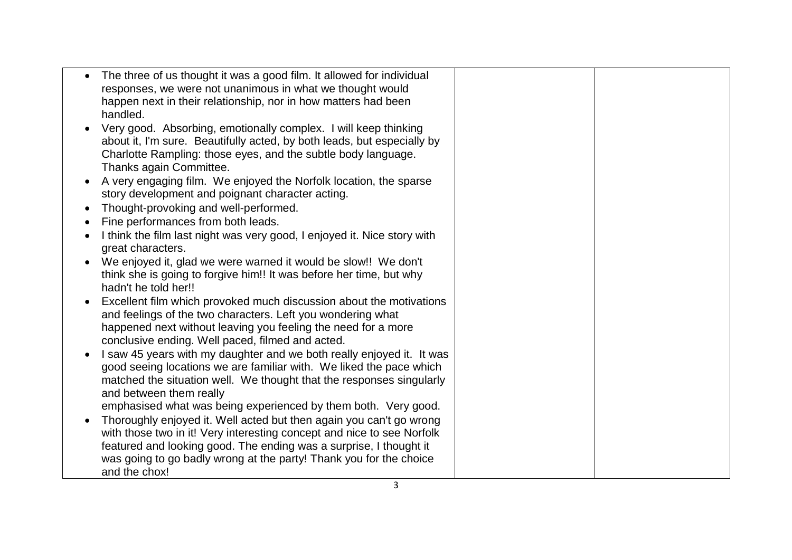| responses, we were not unanimous in what we thought would<br>happen next in their relationship, nor in how matters had been<br>handled.<br>Very good. Absorbing, emotionally complex. I will keep thinking<br>about it, I'm sure. Beautifully acted, by both leads, but especially by<br>Charlotte Rampling: those eyes, and the subtle body language.<br>Thanks again Committee.<br>A very engaging film. We enjoyed the Norfolk location, the sparse<br>story development and poignant character acting.<br>Thought-provoking and well-performed.<br>Fine performances from both leads.<br>I think the film last night was very good, I enjoyed it. Nice story with<br>great characters.<br>We enjoyed it, glad we were warned it would be slow!! We don't<br>think she is going to forgive him!! It was before her time, but why |
|-------------------------------------------------------------------------------------------------------------------------------------------------------------------------------------------------------------------------------------------------------------------------------------------------------------------------------------------------------------------------------------------------------------------------------------------------------------------------------------------------------------------------------------------------------------------------------------------------------------------------------------------------------------------------------------------------------------------------------------------------------------------------------------------------------------------------------------|
|                                                                                                                                                                                                                                                                                                                                                                                                                                                                                                                                                                                                                                                                                                                                                                                                                                     |
|                                                                                                                                                                                                                                                                                                                                                                                                                                                                                                                                                                                                                                                                                                                                                                                                                                     |
|                                                                                                                                                                                                                                                                                                                                                                                                                                                                                                                                                                                                                                                                                                                                                                                                                                     |
|                                                                                                                                                                                                                                                                                                                                                                                                                                                                                                                                                                                                                                                                                                                                                                                                                                     |
|                                                                                                                                                                                                                                                                                                                                                                                                                                                                                                                                                                                                                                                                                                                                                                                                                                     |
|                                                                                                                                                                                                                                                                                                                                                                                                                                                                                                                                                                                                                                                                                                                                                                                                                                     |
| hadn't he told her!!                                                                                                                                                                                                                                                                                                                                                                                                                                                                                                                                                                                                                                                                                                                                                                                                                |
| Excellent film which provoked much discussion about the motivations                                                                                                                                                                                                                                                                                                                                                                                                                                                                                                                                                                                                                                                                                                                                                                 |
| and feelings of the two characters. Left you wondering what                                                                                                                                                                                                                                                                                                                                                                                                                                                                                                                                                                                                                                                                                                                                                                         |
| happened next without leaving you feeling the need for a more<br>conclusive ending. Well paced, filmed and acted.                                                                                                                                                                                                                                                                                                                                                                                                                                                                                                                                                                                                                                                                                                                   |
| I saw 45 years with my daughter and we both really enjoyed it. It was                                                                                                                                                                                                                                                                                                                                                                                                                                                                                                                                                                                                                                                                                                                                                               |
| good seeing locations we are familiar with. We liked the pace which                                                                                                                                                                                                                                                                                                                                                                                                                                                                                                                                                                                                                                                                                                                                                                 |
| matched the situation well. We thought that the responses singularly                                                                                                                                                                                                                                                                                                                                                                                                                                                                                                                                                                                                                                                                                                                                                                |
| and between them really                                                                                                                                                                                                                                                                                                                                                                                                                                                                                                                                                                                                                                                                                                                                                                                                             |
| emphasised what was being experienced by them both. Very good.                                                                                                                                                                                                                                                                                                                                                                                                                                                                                                                                                                                                                                                                                                                                                                      |
| Thoroughly enjoyed it. Well acted but then again you can't go wrong                                                                                                                                                                                                                                                                                                                                                                                                                                                                                                                                                                                                                                                                                                                                                                 |
| with those two in it! Very interesting concept and nice to see Norfolk                                                                                                                                                                                                                                                                                                                                                                                                                                                                                                                                                                                                                                                                                                                                                              |
| featured and looking good. The ending was a surprise, I thought it                                                                                                                                                                                                                                                                                                                                                                                                                                                                                                                                                                                                                                                                                                                                                                  |
| was going to go badly wrong at the party! Thank you for the choice                                                                                                                                                                                                                                                                                                                                                                                                                                                                                                                                                                                                                                                                                                                                                                  |
| and the chox!<br>3                                                                                                                                                                                                                                                                                                                                                                                                                                                                                                                                                                                                                                                                                                                                                                                                                  |